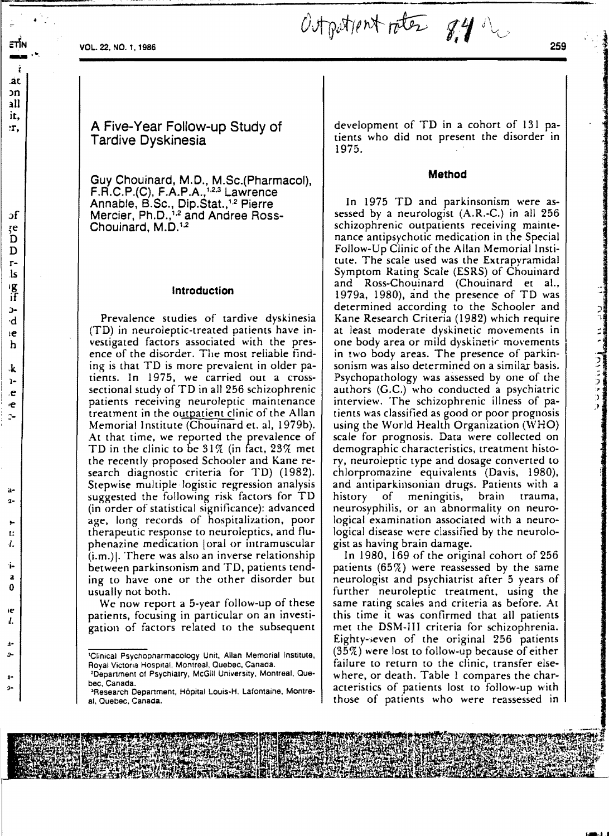•

 $\mathcal{O}$ to  $\mathcal{O}$ to  $\mathcal{O}$ to  $\mathcal{O}$   $\mathcal{O}$   $\mathcal{O}$   $\mathcal{O}$   $\mathcal{O}$   $\mathcal{O}$   $\mathcal{O}$   $\mathcal{O}$   $\mathcal{O}$   $\mathcal{O}$   $\mathcal{O}$   $\mathcal{O}$   $\mathcal{O}$   $\mathcal{O}$   $\mathcal{O}$   $\mathcal{O}$   $\mathcal{O}$   $\mathcal{O}$   $\mathcal{O}$   $\mathcal{O}$   $\mathcal{O}$ 

A Five-Year Follow-up Study of Tardive Dyskinesia

Guy Chouinard, M.D., M.Sc.(Pharmacol).  $F.R.C.P.(C), F.A.P.A.,<sup>1,2,3</sup> Lawrence$ Annable, B.Sc., Dip.Stat.,<sup>1,2</sup> Pierre Mercier, Ph.D.,<sup>1,2</sup> and Andree Ross-Chouinard, M.D.<sup>1.2</sup>

#### Introduction

Prevalence studies of tardive dyskinesia (TO) in neuroleptic-treated patients have investigated factors associated with the presence of the disorder. The most reiiabie finding is that TD is more prevalent in older patients. In 1975, we carried out a crosssectional study of TD in all 256 schizophrenic patients receiving neuroleptic maintenance treatment in the outpatient clinic of the Allan Memorial Institute (Chouinard et. al, 1979b). At that time, we reported the prevalence of TD in the clinic to be  $31\%$  (in fact,  $23\%$  met the recently proposed Schooler and Kane research diagnostic criteria for TD) (1982). Stepwise multiple logistic regression analysis suggested the following risk factors for TD (in order of statistical significance): advanced age, long records of hospitalization, poor therapeutic response to neuroleptics. and fluphenazine medication loral or intramuscular  $(i.m.)$ ]. There was also an inverse relationship between parkinsonism and TD, patients tending to have one or the other disorder but usually not both.

We now report a 5-year follow-up of these patients, focusing in particular on an investigation of factors related to the subsequent development of TD in a cohort of 131 patients who did not present the disorder in 1975.

#### Method

In 1975 TD and parkinsonism were assessed by a neurologist (A.R.-C.) in all 256 schizophrenic outpatients receiving maintenance antipsychotic medication in the Special Follow-Up Clinic of the Allan Memorial Institute. The scale used was the Extrapyramidal Symptom Rating Scale (ESRS) of Chouinard and Ross-Chouinard (Chouinard et aJ., 1979a, 1980), and the presence of TO was determined according to the Schooler and Kane Research Criteria (1982) which require at least moderate dyskinetic movements in one body area or mild dyskinetic movements in two body areas. The presence of parkinsonism was also determined on a similar basis. Psychopathology was assessed by one of the authors (G.C.) who conducted a psychiatric interview. The schizophrenic illness of patients was classified as good or poor prognosis using the World Health Organization (WHO) scale for prognosis. Data were collected on demographic characteristics, treatment history, neuroleptic type and dosage converted to chlorpromazine equivalents (Davis, 1980), and amiparkinsonian drugs. Patients with a history of meningitis, brain trauma, neurosyphilis, or an abnormality on neurological examination associated with a neurological disease were classified by the neurologist as having brain damage.

In 1980, 169 of the original cohort of 256 patients  $(65\%)$  were reassessed by the same neurologist and psychiatrist after 5 years of further neuroleptic treatment, using the same rating scales and criteria as before. At this time it was confirmed that all patients met the OSM-III criteria for schizophrenia. Eighty-seven of the original 256 patients  $(35\%)$  were lost to follow-up because of either failure to return to the clinic, transfer elsewhere, or death. Table I compares the characteristics of patients lost to follow-up with those of patients who were reassessed in

<sup>&#</sup>x27;Clinical Psychopharmacology Unit. Allan Memorial Institute. Royal Victona Hospital, Montreal. Ouebec. Canada.

<sup>&#</sup>x27;Depanment of Psychialry. McGill University. Montreal. Que· bec. Canada.

<sup>&#</sup>x27;Research Depanment. H6pital Louis·H. Lafontaine. Montre· al. Quebec. Canada.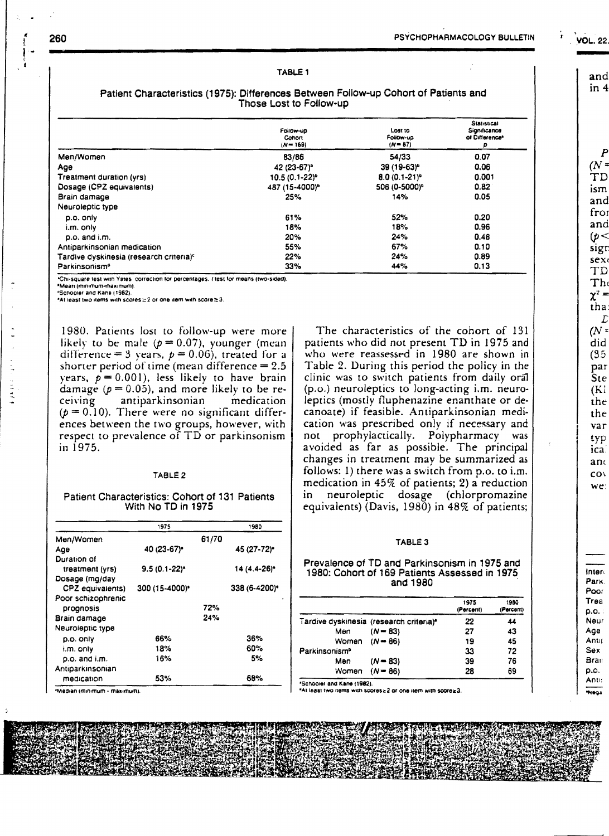## TABLE 1

|                                                     | Follow-up<br>Conon<br>$(N - 169)$ | LOSI IO<br>Follow-up<br>$(N - 87)$ | <b>Statistical</b><br>Significance<br>of Difference <sup>®</sup><br>p |
|-----------------------------------------------------|-----------------------------------|------------------------------------|-----------------------------------------------------------------------|
| Men/Women                                           | 83/86                             | 54/33                              | 0.07                                                                  |
| Age                                                 | 42 (23-67) <sup>*</sup>           | $39(19-63)^{o}$                    | 0.06                                                                  |
| Treatment duration (yrs)                            | $10.5(0.1-22)^{o}$                | $8.0(0.1-21)^{o}$                  | 0.001                                                                 |
| Dosage (CPZ equivalents)                            | 487 (15-4000) <sup>°</sup>        | 506 (0-5000) <sup>b</sup>          | 0.82                                                                  |
| Brain damage                                        | 25%                               | 14%                                | 0.05                                                                  |
| Neuroleptic type                                    |                                   |                                    |                                                                       |
| p.o. only                                           | 61%                               | 52%                                | 0.20                                                                  |
| i.m. only                                           | 18%                               | 18%                                | 0.96                                                                  |
| p.o. and i.m.                                       | 20%                               | 24%                                | 0.48                                                                  |
| Antiparkinsonian medication                         | 55%                               | 67%                                | 0.10                                                                  |
| Tardive dyskinesia (research criteria) <sup>c</sup> | 22%                               | 24%                                | 0.89                                                                  |
| Parkinsonism <sup>®</sup>                           | 33%                               | 44%                                | 0.13                                                                  |

## Patient Characteristics (1975): Differences Between Follow-up Cohort of Patients and Those Lost to Follow-up

Chi-square lest with Yates, correction for percentages, I test for means (two-sided).

\*Mean immimum-maximum)

'Schooler and Kane (1982).

\*At least two items with scores  $\geq$  2 or one item with score  $\geq$  3.

1980. Patients lost to follow-up were more likely to be male ( $p = 0.07$ ), younger (mean difference = 3 years,  $p = 0.06$ ), treated for a shorter period of time (mean difference  $= 2.5$ ) vears,  $p = 0.001$ , less likely to have brain damage ( $p = 0.05$ ), and more likely to be receiving antiparkinsonian medication  $(p = 0.10)$ . There were no significant differences between the two groups, however, with respect to prevalence of TD or parkinsonism in 1975.

#### TABLE<sub>2</sub>

### Patient Characteristics: Cohort of 131 Patients With No TD in 1975

|                    | 1975            |       | 1980          |
|--------------------|-----------------|-------|---------------|
| Men/Women          |                 | 61/70 |               |
| Age                | 40 (23-67)*     |       | 45 (27-72)*   |
| Duration of        |                 |       |               |
| treatment (yrs)    | $9.5(0.1-22)^*$ |       | 14 (4.4-26)*  |
| Dosage (mg/day     |                 |       |               |
| CPZ equivalents)   | 300 (15-4000)*  |       | 338 (6-4200)* |
| Poor schizophrenic |                 |       |               |
| prognosis          |                 | 72%   |               |
| Brain damage       |                 | 24%   |               |
| Neuroleptic type   |                 |       |               |
| p.o. only          | 66%             |       | 36%           |
| i.m. only          | 18%             |       | 60%           |
| p.o. and i.m.      | 16%             |       | 5%            |
| Antiparkinsonian   |                 |       |               |
| medication         | 53%             |       | 68%           |

\*Median (minimum - maximum)

The characteristics of the cohort of 131 patients who did not present TD in 1975 and who were reassessed in 1980 are shown in Table 2. During this period the policy in the clinic was to switch patients from daily oral (p.o.) neuroleptics to long-acting i.m. neuroleptics (mostly fluphenazine enanthate or decanoate) if feasible. Antiparkinsonian medication was prescribed only if necessary and not prophylactically. Polypharmacy was avoided as far as possible. The principal changes in treatment may be summarized as follows: 1) there was a switch from p.o. to i.m. medication in  $45\%$  of patients; 2) a reduction neuroleptic dosage (chlorpromazine in equivalents) (Davis, 1980) in 48% of patients;

### TABLE<sub>3</sub>

### Prevalence of TD and Parkinsonism in 1975 and 1980: Cohort of 169 Patients Assessed in 1975 and 1980

|                           |                                         | 1975<br>(Percent) | 1980<br>(Percent) |
|---------------------------|-----------------------------------------|-------------------|-------------------|
|                           | Tardive dyskinesia (research criteria)* | 22                | 44                |
| Men                       | $(N - 83)$                              | 27                | 43                |
| Women $(N = 86)$          |                                         | 19                | 45                |
| Parkinsonism <sup>®</sup> |                                         | 33                | 72                |
| Men                       | $(N - 83)$                              | 39                | 76                |
| Women $(N = 86)$          |                                         | 28                | 69                |

\*Schooler and Kane (1982).

"At least two items with scores a 2 or one item with score a3.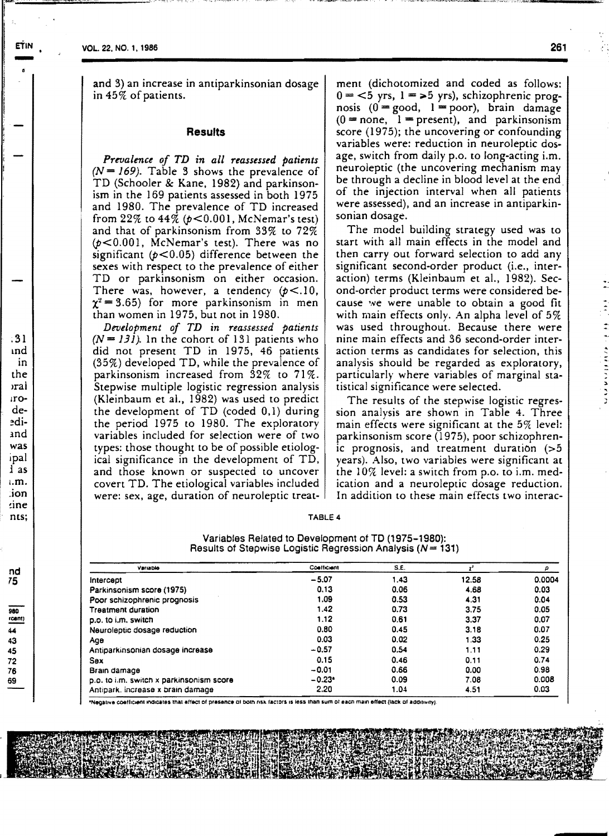and 3) an increase in antiparkinsonian dosage in 45% of patients.

## **Results**

*Prevalence of TD in all reassessed patients*   $(N = 169)$ . Table 3 shows the prevalence of TD (Schooler & Kane, 1982) and parkinsonism in the 169 patients assessed in both 1975 and 1980. The prevalence of TD increased from  $22\%$  to  $44\%$  ( $p < 0.001$ , McNemar's test) and that of parkinsonism from 33% to 72%  $(p<0.001$ , McNemar's test). There was no significant  $(p<0.05)$  difference between the sexes with respect to the prevalence of either TD or parkinsonism on either occasion. There was, however, a tendency  $(p<.10,$  $\chi^2$  = 3.65) for more parkinsonism in men than women in 1975, but not in 1980.

*Development of TD in reassessed patients*   $(N = 131)$ . In the cohort of 131 patients who did not present TD in 1975, 46 patients (35%) developed TD, while the prevalence of parkinsonism increased from  $32\%$  to  $71\%$ . Stepwise multiple logistic regression analysis (Kleinbaum et aI., 1982) was used to predict the development of TD (coded 0,1) during the period 1975 to 1980. The exploratory variables included for selection were of two types: those thought to be of possible etiological significance in the development of TD, and those known or suspected to uncover covert TD. The etiological variables included were: sex, age, duration of neuroleptic treatment (dichotomized and coded as follows:  $0 = 6$  yrs,  $1 = 5$  yrs), schizophrenic prognosis  $(0 = \text{good}, 1 = \text{poor})$ , brain damage  $(0 = none, 1 = present)$ , and parkinsonism score (1975); the uncovering or confounding variables were: reduction in neuroleptic dosage, switch from daily p.o. to long-acting i.m. neuroleptic (the uncovering mechanism may be through a decline in blood level at the end, of the injection interval when all patients were assessed), and an increase in antiparkinsonian dosage.

The model building strategy used was to start with all main effects in the model and then carry out forward selection to add any significant second-order product (i.e., interaction) terms (Kleinbaum et al., 1982). Second-order product terms were considered because we were unable to obtain a good fit with main effects only. An alpha level of 5% was used throughout. Because there were nine main effects and 36 second-order interaction terms as candidates for selection, this analysis should be regarded as exploratory, particularly where variables of marginal statistical significance were selected.

The results of the stepwise logistic regression analysis are shown in Table 4. Three main effects were significant at the 5% level: parkinsonism score (1975), poor schizophrenic prognosis, and treatment duration (>5 years). Also, two variables were significant at the 10% level: a switch from p.o. to i.m. medication and a neuroleptic dosage reduction. In addition to these main effects two interac-

| TABLE |  |
|-------|--|
|-------|--|

| Variables Related to Development of TD (1975–1980):            |  |
|----------------------------------------------------------------|--|
| Results of Stepwise Logistic Regression Analysis ( $N = 131$ ) |  |

| Variable                                 | Continuent | S.E. |       | p      |
|------------------------------------------|------------|------|-------|--------|
| intercept                                | $-5.07$    | 1.43 | 12.58 | 0.0004 |
| Parkinsonism score (1975)                | 0,13       | 0.06 | 4.68  | 0.03   |
| Poor schizophrenic prognosis             | 1.09       | 0.53 | 4.31  | 0.04   |
| <b>Treatment duration</b>                | 1.42       | 0.73 | 3.75  | 0.05   |
| p.o. to i.m. switch                      | 1.12       | 0.61 | 3.37  | 0.07   |
| Neuroleptic dosage reduction             | 0.80       | 0.45 | 3.18  | 0.07   |
| Age                                      | 0.03       | 0.02 | 1.33  | 0.25   |
| Antiparkinsonian dosage increase         | $-0.57$    | 0.54 | 1.11  | 0.29   |
| Sex                                      | 0.15       | 0.46 | 0.11  | 0.74   |
| Brain damage                             | $-0.01$    | 0.66 | 0.00  | 0.98   |
| p.o. to i.m. switch x parkinsonism score | $-0.23$    | 0.09 | 7.08  | 0.008  |
| Antipark, increase x brain damage        | 2.20       | 1.04 | 4.51  | 0.03   |

\*Negative coefficient indicates that effect of presence of both risk factors is less than sum of each main effect (lack of additivity)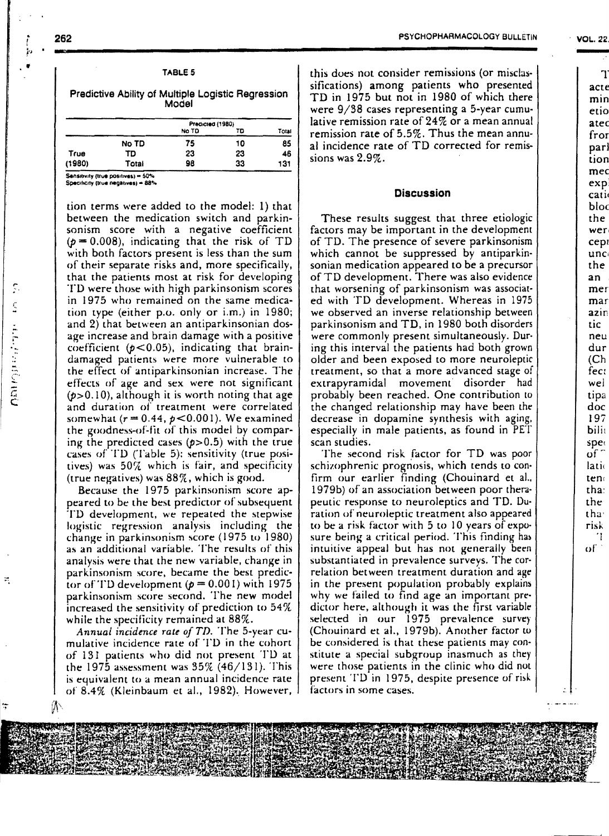262

 $(1980)$ 

ĵ0

|                                                             |       | TABLE 5                         |    |             |  |
|-------------------------------------------------------------|-------|---------------------------------|----|-------------|--|
| Predictive Ability of Multiple Logistic Regression<br>Model |       |                                 |    |             |  |
|                                                             |       | Predicted (1980)<br>No TD<br>TD |    |             |  |
|                                                             | No TD | 75                              | 10 | Total<br>85 |  |
| True                                                        | TD    | 23                              | 23 | 46          |  |

98

33

131

Sensitivity (true positives) = 50%

Total

Specificity (true negatives) = 88%

tion terms were added to the model: 1) that between the medication switch and parkinsonism score with a negative coefficient  $(p = 0.008)$ , indicating that the risk of TD with both factors present is less than the sum of their separate risks and, more specifically, that the patients most at risk for developing TD were those with high parkinsonism scores in 1975 who remained on the same medication type (either p.o. only or  $i.m.$ ) in 1980; and 2) that between an antiparkinsonian dosage increase and brain damage with a positive coefficient  $(p<0.05)$ , indicating that braindamaged patients were more vulnerable to the effect of antiparkinsonian increase. The effects of age and sex were not significant  $(p>0.10)$ , although it is worth noting that age and duration of treatment were correlated somewhat  $(r = 0.44, p < 0.001)$ . We examined the goodness-of-fit of this model by comparing the predicted cases  $(p>0.5)$  with the true cases of TD (Table 5): sensitivity (true positives) was  $50\%$  which is fair, and specificity (true negatives) was 88%, which is good.

Because the 1975 parkinsonism score appeared to be the best predictor of subsequent TD development, we repeated the stepwise logistic regression analysis including the change in parkinsonism score (1975 to 1980) as an additional variable. The results of this analysis were that the new variable, change in parkinsonism score, became the best predictor of TD development ( $p = 0.001$ ) with 1975 parkinsonism score second. The new model increased the sensitivity of prediction to 54% while the specificity remained at 88%.

Annual incidence rate of TD. The 5-year cumulative incidence rate of TD in the cohort of 131 patients who did not present TD at the 1975 assessment was  $35\%$  (46/131). This is equivalent to a mean annual incidence rate of 8.4% (Kleinbaum et al., 1982). However, this does not consider remissions (or misclassifications) among patients who presented TD in 1975 but not in 1980 of which there were 9/38 cases representing a 5-year cumulative remission rate of  $24\%$  or a mean annual remission rate of  $5.5\%$ . Thus the mean annual incidence rate of TD corrected for remissions was  $2.9\%$  .

# **Discussion**

These results suggest that three etiologic factors may be important in the development of TD. The presence of severe parkinsonism which cannot be suppressed by antiparkinsonian medication appeared to be a precursor of TD development. There was also evidence that worsening of parkinsonism was associated with TD development. Whereas in 1975 we observed an inverse relationship between parkinsonism and TD, in 1980 both disorders were commonly present simultaneously. During this interval the patients had both grown older and been exposed to more neuroleptic treatment, so that a more advanced stage of extrapyramidal movement disorder had probably been reached. One contribution to the changed relationship may have been the decrease in dopamine synthesis with aging, especially in male patients, as found in PET scan studies.

The second risk factor for TD was poor schizophrenic prognosis, which tends to confirm our earlier finding (Chouinard et al., 1979b) of an association between poor therapeutic response to neuroleptics and TD. Duration of neuroleptic treatment also appeared to be a risk factor with 5 to 10 years of exposure being a critical period. This finding has intuitive appeal but has not generally been substantiated in prevalence surveys. The correlation between treatment duration and age in the present population probably explains why we failed to find age an important predictor here, although it was the first variable selected in our 1975 prevalence survey (Chouinard et al., 1979b). Another factor to be considered is that these patients may constitute a special subgroup inasmuch as they were those patients in the clinic who did not present TD in 1975, despite presence of risk factors in some cases.

Ø١